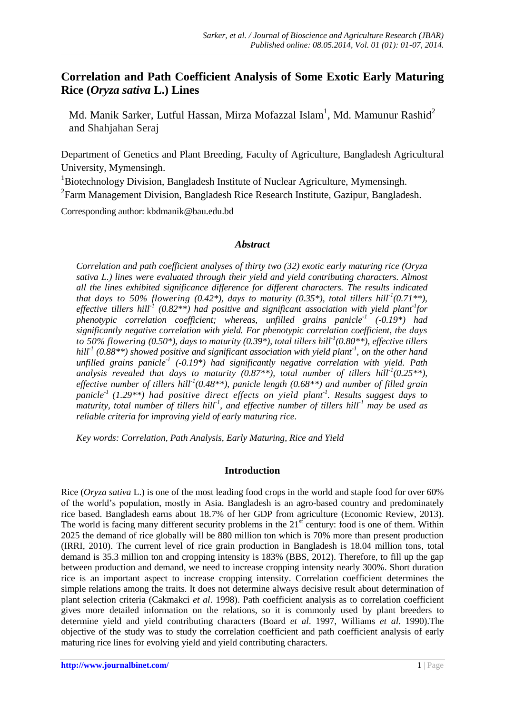# **Correlation and Path Coefficient Analysis of Some Exotic Early Maturing Rice (***Oryza sativa* **L.) Lines**

Md. Manik Sarker, Lutful Hassan, Mirza Mofazzal Islam<sup>1</sup>, Md. Mamunur Rashid<sup>2</sup> and Shahjahan Seraj

Department of Genetics and Plant Breeding, Faculty of Agriculture, Bangladesh Agricultural University, Mymensingh.

<sup>1</sup>Biotechnology Division, Bangladesh Institute of Nuclear Agriculture, Mymensingh. <sup>2</sup> Farm Management Division, Bangladesh Rice Research Institute, Gazipur, Bangladesh.

Corresponding author: kbdmanik@bau.edu.bd

## *Abstract*

*Correlation and path coefficient analyses of thirty two (32) exotic early maturing rice (Oryza sativa L.) lines were evaluated through their yield and yield contributing characters. Almost all the lines exhibited significance difference for different characters. The results indicated that days to 50% flowering*  $(0.42^*)$ , *days to maturity*  $(0.35^*)$ , *total tillers hill*<sup>*1*</sup> $(0.71^{**})$ , *effective tillers hill-1 (0.82\*\*) had positive and significant association with yield plant-1 for phenotypic correlation coefficient; whereas, unfilled grains panicle-1 (-0.19\*) had significantly negative correlation with yield. For phenotypic correlation coefficient, the days to 50% flowering (0.50\*), days to maturity (0.39\*), total tillers hill-1 (0.80\*\*), effective tillers hill-1 (0.88\*\*) showed positive and significant association with yield plant-1 , on the other hand unfilled grains panicle-1 (-0.19\*) had significantly negative correlation with yield. Path analysis revealed that days to maturity (0.87\*\*), total number of tillers hill-1 (0.25\*\*), effective number of tillers hill-1 (0.48\*\*), panicle length (0.68\*\*) and number of filled grain panicle-1 (1.29\*\*) had positive direct effects on yield plant-1 . Results suggest days to maturity, total number of tillers hill-1 , and effective number of tillers hill-1 may be used as reliable criteria for improving yield of early maturing rice.*

*Key words: Correlation, Path Analysis, Early Maturing, Rice and Yield*

#### **Introduction**

Rice (*Oryza sativa* L.) is one of the most leading food crops in the world and staple food for over 60% of the world's population, mostly in Asia. Bangladesh is an agro-based country and predominately rice based. Bangladesh earns about 18.7% of her GDP from agriculture (Economic Review, 2013). The world is facing many different security problems in the  $21<sup>st</sup>$  century: food is one of them. Within 2025 the demand of rice globally will be 880 million ton which is 70% more than present production (IRRI, 2010). The current level of rice grain production in Bangladesh is 18.04 million tons, total demand is 35.3 million ton and cropping intensity is 183% (BBS, 2012). Therefore, to fill up the gap between production and demand, we need to increase cropping intensity nearly 300%. Short duration rice is an important aspect to increase cropping intensity. Correlation coefficient determines the simple relations among the traits. It does not determine always decisive result about determination of plant selection criteria (Cakmakci *et al*. 1998). Path coefficient analysis as to correlation coefficient gives more detailed information on the relations, so it is commonly used by plant breeders to determine yield and yield contributing characters (Board *et al*. 1997, Williams *et al*. 1990).The objective of the study was to study the correlation coefficient and path coefficient analysis of early maturing rice lines for evolving yield and yield contributing characters.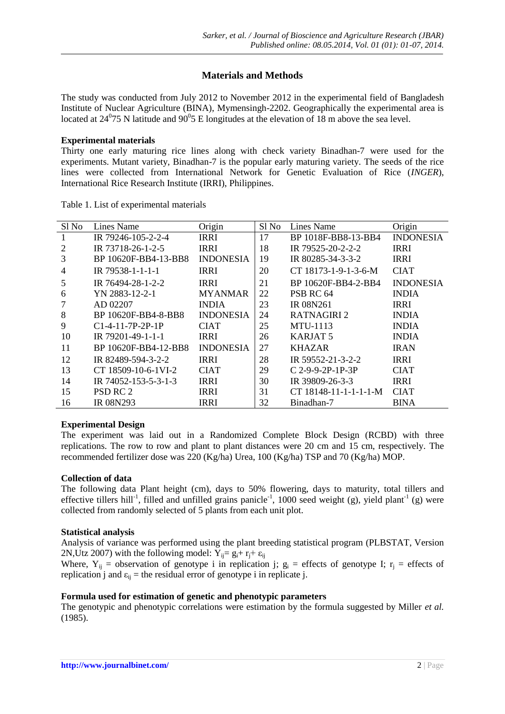# **Materials and Methods**

The study was conducted from July 2012 to November 2012 in the experimental field of Bangladesh Institute of Nuclear Agriculture (BINA), Mymensingh-2202. Geographically the experimental area is located at  $24^{\circ}$ 75 N latitude and 90 $^{\circ}$ 5 E longitudes at the elevation of 18 m above the sea level.

### **Experimental materials**

Thirty one early maturing rice lines along with check variety Binadhan-7 were used for the experiments. Mutant variety, Binadhan-7 is the popular early maturing variety. The seeds of the rice lines were collected from International Network for Genetic Evaluation of Rice (*INGER*), International Rice Research Institute (IRRI), Philippines.

| Sl No | Lines Name           | Origin           | Sl No | Lines Name            | Origin           |
|-------|----------------------|------------------|-------|-----------------------|------------------|
|       | IR 79246-105-2-2-4   | <b>IRRI</b>      | 17    | BP 1018F-BB8-13-BB4   | <b>INDONESIA</b> |
|       | IR 73718-26-1-2-5    | <b>IRRI</b>      | 18    | IR 79525-20-2-2-2     | <b>IRRI</b>      |
| 3     | BP 10620F-BB4-13-BB8 | <b>INDONESIA</b> | 19    | IR 80285-34-3-3-2     | <b>IRRI</b>      |
| 4     | IR 79538-1-1-1-1     | <b>IRRI</b>      | 20    | CT 18173-1-9-1-3-6-M  | <b>CIAT</b>      |
| 5     | IR 76494-28-1-2-2    | <b>IRRI</b>      | 21    | BP 10620F-BB4-2-BB4   | <b>INDONESIA</b> |
| 6     | YN 2883-12-2-1       | <b>MYANMAR</b>   | 22    | PSB RC 64             | <b>INDIA</b>     |
|       | AD 02207             | <b>INDIA</b>     | 23    | <b>IR 08N261</b>      | <b>IRRI</b>      |
| 8     | BP 10620F-BB4-8-BB8  | <b>INDONESIA</b> | 24    | RATNAGIRI 2           | <b>INDIA</b>     |
| 9     | $C1-4-11-7P-2P-1P$   | <b>CIAT</b>      | 25    | <b>MTU-1113</b>       | <b>INDIA</b>     |
| 10    | IR 79201-49-1-1-1    | <b>IRRI</b>      | 26    | KARJAT <sub>5</sub>   | <b>INDIA</b>     |
| 11    | BP 10620F-BB4-12-BB8 | <b>INDONESIA</b> | 27    | <b>KHAZAR</b>         | <b>IRAN</b>      |
| 12    | IR 82489-594-3-2-2   | <b>IRRI</b>      | 28    | IR 59552-21-3-2-2     | <b>IRRI</b>      |
| 13    | CT 18509-10-6-1VI-2  | <b>CIAT</b>      | 29    | C 2-9-9-2P-1P-3P      | <b>CIAT</b>      |
| 14    | IR 74052-153-5-3-1-3 | <b>IRRI</b>      | 30    | IR 39809-26-3-3       | <b>IRRI</b>      |
| 15    | PSD RC 2             | <b>IRRI</b>      | 31    | CT 18148-11-1-1-1-1-M | <b>CIAT</b>      |
| 16    | <b>IR 08N293</b>     | <b>IRRI</b>      | 32    | Binadhan-7            | <b>BINA</b>      |

Table 1. List of experimental materials

# **Experimental Design**

The experiment was laid out in a Randomized Complete Block Design (RCBD) with three replications. The row to row and plant to plant distances were 20 cm and 15 cm, respectively. The recommended fertilizer dose was 220 (Kg/ha) Urea, 100 (Kg/ha) TSP and 70 (Kg/ha) MOP.

# **Collection of data**

The following data Plant height (cm), days to 50% flowering, days to maturity, total tillers and effective tillers hill<sup>-1</sup>, filled and unfilled grains panicle<sup>-1</sup>, 1000 seed weight (g), yield plant<sup>-1</sup> (g) were collected from randomly selected of 5 plants from each unit plot.

#### **Statistical analysis**

Analysis of variance was performed using the plant breeding statistical program (PLBSTAT, Version 2N,Utz 2007) with the following model:  $Y_{ii} = g_i + r_i + \varepsilon_{ii}$ 

Where,  $Y_{ii}$  = observation of genotype i in replication j;  $g_i$  = effects of genotype I;  $r_i$  = effects of replication j and  $\varepsilon_{ii}$  = the residual error of genotype i in replicate j.

# **Formula used for estimation of genetic and phenotypic parameters**

The genotypic and phenotypic correlations were estimation by the formula suggested by Miller *et al.*  (1985).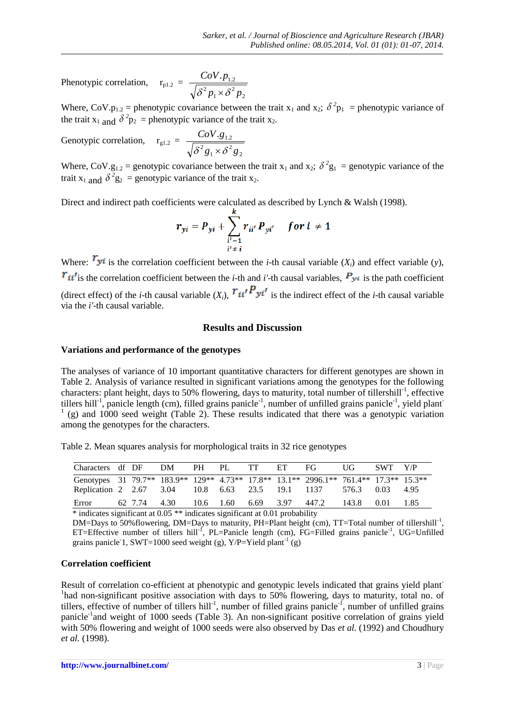Phenotypic correlation, 2 1 2  $\cdot P_{1.2}$  $p_1 \times \delta^2 p$ *CoV p*  $\delta^2 p_1 \times \delta$ 

Where, CoV.p<sub>1.2</sub> = phenotypic covariance between the trait  $x_1$  and  $x_2$ ;  $\delta^2 p_1$  = phenotypic variance of the trait  $x_1$  and  $\delta^2 p_2$  = phenotypic variance of the trait  $x_2$ .

2

Genotypic correlation,  $r_{g1.2}$  = 2 2 1 2  $\cdot 8_{1.2}$  $g_1 \times \delta^2 g$ *CoV g*  $\delta^2 g_1 \times \delta$ 

Where, CoV.g<sub>1.2</sub> = genotypic covariance between the trait  $x_1$  and  $x_2$ ;  $\delta^2 g_1$  = genotypic variance of the trait  $x_1$  and  $\delta^2 g_2$  = genotypic variance of the trait  $x_2$ .

Direct and indirect path coefficients were calculated as described by Lynch & Walsh (1998).

$$
r_{yi} = P_{yi} + \sum_{\substack{i'=1 \ i'\neq i}}^{\kappa} r_{ii'} P_{yi'} \quad \text{for } i \neq 1
$$

Where:  $\mathbf{r}_{y_i}$  is the correlation coefficient between the *i*-th causal variable  $(X_i)$  and effect variable  $(y)$ ,  $\vec{r}_{ii'}$  is the correlation coefficient between the *i*-th and *i'*-th causal variables,  $P_{y_i}$  is the path coefficient (direct effect) of the *i*-th causal variable  $(X_i)$ ,  $T_{ii'}P_{yi'}$  is the indirect effect of the *i*-th causal variable via the *i'*-th causal variable.

### **Results and Discussion**

#### **Variations and performance of the genotypes**

The analyses of variance of 10 important quantitative characters for different genotypes are shown in Table 2. Analysis of variance resulted in significant variations among the genotypes for the following characters: plant height, days to 50% flowering, days to maturity, total number of tillershill<sup>-1</sup>, effective tillers hill<sup>-1</sup>, panicle length (cm), filled grains panicle<sup>-1</sup>, number of unfilled grains panicle<sup>-1</sup>, yield plant  $(1)$  (g) and 1000 seed weight (Table 2). These results indicated that there was a genotypic variation among the genotypes for the characters.

Table 2. Mean squares analysis for morphological traits in 32 rice genotypes

| Characters df DF DM                                                                   |              | PH PL | <b>TT</b> | ET – | FG.                       | UG    | SWT Y/P |  |
|---------------------------------------------------------------------------------------|--------------|-------|-----------|------|---------------------------|-------|---------|--|
| Genotypes 31 79.7** 183.9** 129** 4.73** 17.8** 13.1** 2996.1** 761.4** 17.3** 15.3** |              |       |           |      |                           |       |         |  |
| Replication 2 2.67 3.04 10.8 6.63 23.5 19.1 1137 576.3 0.03 4.95                      |              |       |           |      |                           |       |         |  |
| Error                                                                                 | 62 7.74 4.30 |       |           |      | 10.6 1.60 6.69 3.97 447.2 | 143.8 | 0.01    |  |

\* indicates significant at 0.05 \*\* indicates significant at 0.01 probability

DM=Days to 50% flowering, DM=Days to maturity, PH=Plant height (cm), TT=Total number of tillershill<sup>-1</sup>, ET=Effective number of tillers hill<sup>-1</sup>, PL=Panicle length (cm), FG=Filled grains panicle<sup>-1</sup>, UG=Unfilled grains panicle 1, SWT=1000 seed weight (g),  $Y/P = Y$ ield plant<sup>-1</sup> (g)

#### **Correlation coefficient**

Result of correlation co-efficient at phenotypic and genotypic levels indicated that grains yield plant-<sup>1</sup>had non-significant positive association with days to 50% flowering, days to maturity, total no. of tillers, effective of number of tillers hill<sup>-1</sup>, number of filled grains panicle<sup>-1</sup>, number of unfilled grains panicle<sup>-1</sup>and weight of 1000 seeds (Table 3). An non-significant positive correlation of grains yield with 50% flowering and weight of 1000 seeds were also observed by Das *et al.* (1992) and Choudhury *et al.* (1998).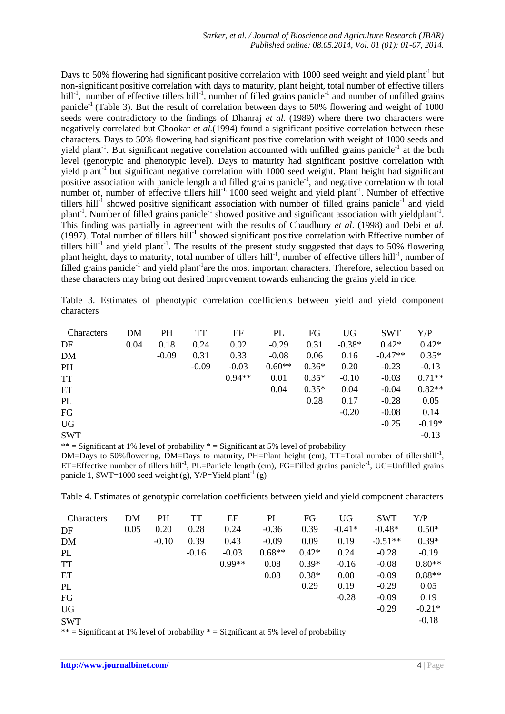Days to 50% flowering had significant positive correlation with 1000 seed weight and yield plant<sup>-1</sup> but non-significant positive correlation with days to maturity, plant height, total number of effective tillers hill<sup>-1</sup>, number of effective tillers hill<sup>-1</sup>, number of filled grains panicle<sup>-1</sup> and number of unfilled grains panicle<sup>-1</sup> (Table 3). But the result of correlation between days to 50% flowering and weight of 1000 seeds were contradictory to the findings of Dhanraj *et al.* (1989) where there two characters were negatively correlated but Chookar *et al.*(1994) found a significant positive correlation between these characters. Days to 50% flowering had significant positive correlation with weight of 1000 seeds and yield plant<sup>-1</sup>. But significant negative correlation accounted with unfilled grains panicle<sup>-1</sup> at the both level (genotypic and phenotypic level). Days to maturity had significant positive correlation with yield plant<sup>-1</sup> but significant negative correlation with 1000 seed weight. Plant height had significant positive association with panicle length and filled grains panicle<sup>-1</sup>, and negative correlation with total number of, number of effective tillers hill<sup>-1,</sup> 1000 seed weight and yield plant<sup>-1</sup>. Number of effective tillers hill<sup>-1</sup> showed positive significant association with number of filled grains panicle<sup>-1</sup> and yield plant<sup>-1</sup>. Number of filled grains panicle<sup>-1</sup> showed positive and significant association with yieldplant<sup>-1</sup>. This finding was partially in agreement with the results of Chaudhury *et al*. (1998) and Debi *et al.* (1997). Total number of tillers hill<sup>-1</sup> showed significant positive correlation with Effective number of tillers hill<sup>-1</sup> and yield plant<sup>-1</sup>. The results of the present study suggested that days to 50% flowering plant height, days to maturity, total number of tillers hill<sup>-1</sup>, number of effective tillers hill<sup>-1</sup>, number of filled grains panicle<sup>-1</sup> and yield plant<sup>-1</sup>are the most important characters. Therefore, selection based on these characters may bring out desired improvement towards enhancing the grains yield in rice.

Table 3. Estimates of phenotypic correlation coefficients between yield and yield component characters

| DM   | PH      | TT      | EF       | PL       | FG      | <b>UG</b> | <b>SWT</b> | Y/P      |
|------|---------|---------|----------|----------|---------|-----------|------------|----------|
| 0.04 | 0.18    | 0.24    | 0.02     | $-0.29$  | 0.31    | $-0.38*$  | $0.42*$    | $0.42*$  |
|      | $-0.09$ | 0.31    | 0.33     | $-0.08$  | 0.06    | 0.16      | $-0.47**$  | $0.35*$  |
|      |         | $-0.09$ | $-0.03$  | $0.60**$ | $0.36*$ | 0.20      | $-0.23$    | $-0.13$  |
|      |         |         | $0.94**$ | 0.01     | $0.35*$ | $-0.10$   | $-0.03$    | $0.71**$ |
|      |         |         |          | 0.04     | $0.35*$ | 0.04      | $-0.04$    | $0.82**$ |
|      |         |         |          |          | 0.28    | 0.17      | $-0.28$    | 0.05     |
|      |         |         |          |          |         | $-0.20$   | $-0.08$    | 0.14     |
|      |         |         |          |          |         |           | $-0.25$    | $-0.19*$ |
|      |         |         |          |          |         |           |            | $-0.13$  |
|      |         |         |          |          |         |           |            |          |

\*\* = Significant at 1% level of probability  $*$  = Significant at 5% level of probability

DM=Days to 50%flowering, DM=Days to maturity, PH=Plant height (cm), TT=Total number of tillershill<sup>-1</sup>, ET=Effective number of tillers hill<sup>-1</sup>, PL=Panicle length (cm), FG=Filled grains panicle<sup>-1</sup>, UG=Unfilled grains panicle<sup>-1</sup>, SWT=1000 seed weight (g), Y/P=Yield plant<sup>-1</sup> (g)

Table 4. Estimates of genotypic correlation coefficients between yield and yield component characters

| Characters | DM   | PH      | <b>TT</b> | EF       | PL       | FG      | <b>UG</b> | <b>SWT</b> | Y/P      |
|------------|------|---------|-----------|----------|----------|---------|-----------|------------|----------|
| DF         | 0.05 | 0.20    | 0.28      | 0.24     | $-0.36$  | 0.39    | $-0.41*$  | $-0.48*$   | $0.50*$  |
| <b>DM</b>  |      | $-0.10$ | 0.39      | 0.43     | $-0.09$  | 0.09    | 0.19      | $-0.51**$  | $0.39*$  |
| PL         |      |         | $-0.16$   | $-0.03$  | $0.68**$ | $0.42*$ | 0.24      | $-0.28$    | $-0.19$  |
| <b>TT</b>  |      |         |           | $0.99**$ | 0.08     | $0.39*$ | $-0.16$   | $-0.08$    | $0.80**$ |
| ET         |      |         |           |          | 0.08     | $0.38*$ | 0.08      | $-0.09$    | $0.88**$ |
| PL         |      |         |           |          |          | 0.29    | 0.19      | $-0.29$    | 0.05     |
| FG         |      |         |           |          |          |         | $-0.28$   | $-0.09$    | 0.19     |
| <b>UG</b>  |      |         |           |          |          |         |           | $-0.29$    | $-0.21*$ |
| <b>SWT</b> |      |         |           |          |          |         |           |            | $-0.18$  |

\*\* = Significant at 1% level of probability  $*$  = Significant at 5% level of probability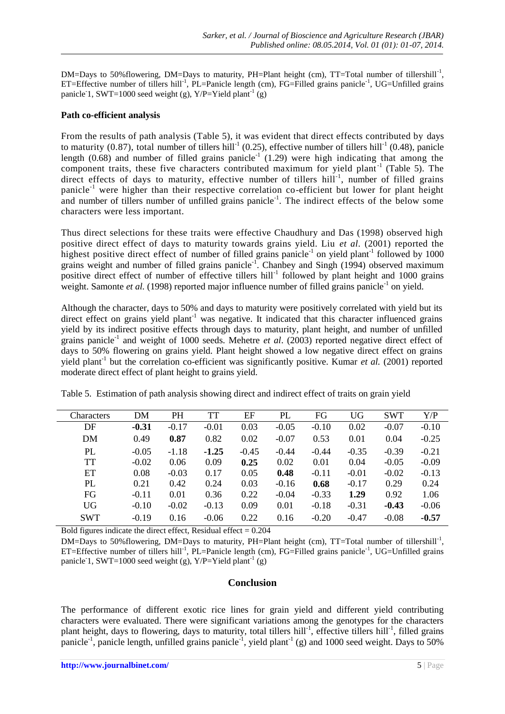DM=Days to 50%flowering, DM=Days to maturity, PH=Plant height (cm), TT=Total number of tillershill<sup>-1</sup>, ET=Effective number of tillers hill<sup>-1</sup>, PL=Panicle length (cm), FG=Filled grains panicle<sup>-1</sup>, UG=Unfilled grains panicle<sup>-1</sup>, SWT=1000 seed weight (g), Y/P=Yield plant<sup>-1</sup> (g)

### **Path co-efficient analysis**

From the results of path analysis (Table 5), it was evident that direct effects contributed by days to maturity (0.87), total number of tillers hill<sup>-1</sup> (0.25), effective number of tillers hill<sup>-1</sup> (0.48), panicle length  $(0.68)$  and number of filled grains panicle<sup>-1</sup> (1.29) were high indicating that among the component traits, these five characters contributed maximum for yield plant<sup>-1</sup> (Table 5). The direct effects of days to maturity, effective number of tillers hill<sup>-1</sup>, number of filled grains panicle-1 were higher than their respective correlation co-efficient but lower for plant height and number of tillers number of unfilled grains panicle<sup>-1</sup>. The indirect effects of the below some characters were less important.

Thus direct selections for these traits were effective Chaudhury and Das (1998) observed high positive direct effect of days to maturity towards grains yield. Liu *et al.* (2001) reported the highest positive direct effect of number of filled grains panicle<sup>-1</sup> on yield plant<sup>-1</sup> followed by 1000 grains weight and number of filled grains panicle<sup>-1</sup>. Chanbey and Singh (1994) observed maximum positive direct effect of number of effective tillers hill<sup>-1</sup> followed by plant height and 1000 grains weight. Samonte et al. (1998) reported major influence number of filled grains panicle<sup>-1</sup> on yield.

Although the character, days to 50% and days to maturity were positively correlated with yield but its direct effect on grains yield plant<sup>-1</sup> was negative. It indicated that this character influenced grains yield by its indirect positive effects through days to maturity, plant height, and number of unfilled grains panicle<sup>-1</sup> and weight of 1000 seeds. Mehetre *et al.* (2003) reported negative direct effect of days to 50% flowering on grains yield. Plant height showed a low negative direct effect on grains yield plant<sup>-1</sup> but the correlation co-efficient was significantly positive. Kumar *et al.* (2001) reported moderate direct effect of plant height to grains yield.

Table 5. Estimation of path analysis showing direct and indirect effect of traits on grain yield

| <b>Characters</b> | <b>DM</b> | PH      | <b>TT</b> | EF      | PL      | FG      | <b>UG</b> | <b>SWT</b> | Y/P     |
|-------------------|-----------|---------|-----------|---------|---------|---------|-----------|------------|---------|
| DF                | $-0.31$   | $-0.17$ | $-0.01$   | 0.03    | $-0.05$ | $-0.10$ | 0.02      | $-0.07$    | $-0.10$ |
| DM                | 0.49      | 0.87    | 0.82      | 0.02    | $-0.07$ | 0.53    | 0.01      | 0.04       | $-0.25$ |
| PL                | $-0.05$   | $-1.18$ | $-1.25$   | $-0.45$ | $-0.44$ | $-0.44$ | $-0.35$   | $-0.39$    | $-0.21$ |
| <b>TT</b>         | $-0.02$   | 0.06    | 0.09      | 0.25    | 0.02    | 0.01    | 0.04      | $-0.05$    | $-0.09$ |
| ET                | 0.08      | $-0.03$ | 0.17      | 0.05    | 0.48    | $-0.11$ | $-0.01$   | $-0.02$    | $-0.13$ |
| PL                | 0.21      | 0.42    | 0.24      | 0.03    | $-0.16$ | 0.68    | $-0.17$   | 0.29       | 0.24    |
| FG                | $-0.11$   | 0.01    | 0.36      | 0.22    | $-0.04$ | $-0.33$ | 1.29      | 0.92       | 1.06    |
| <b>UG</b>         | $-0.10$   | $-0.02$ | $-0.13$   | 0.09    | 0.01    | $-0.18$ | $-0.31$   | $-0.43$    | $-0.06$ |
| <b>SWT</b>        | $-0.19$   | 0.16    | $-0.06$   | 0.22    | 0.16    | $-0.20$ | $-0.47$   | $-0.08$    | $-0.57$ |

Bold figures indicate the direct effect, Residual effect  $= 0.204$ 

DM=Days to 50%flowering, DM=Days to maturity, PH=Plant height (cm), TT=Total number of tillershill<sup>-1</sup>, ET=Effective number of tillers hill<sup>-1</sup>, PL=Panicle length (cm), FG=Filled grains panicle<sup>-1</sup>, UG=Unfilled grains panicle<sup>-1</sup>, SWT=1000 seed weight (g), Y/P=Yield plant<sup>-1</sup> (g)

# **Conclusion**

The performance of different exotic rice lines for grain yield and different yield contributing characters were evaluated. There were significant variations among the genotypes for the characters plant height, days to flowering, days to maturity, total tillers hill<sup>-1</sup>, effective tillers hill<sup>-1</sup>, filled grains panicle<sup>-1</sup>, panicle length, unfilled grains panicle<sup>-1</sup>, yield plant<sup>-1</sup> (g) and 1000 seed weight. Days to 50%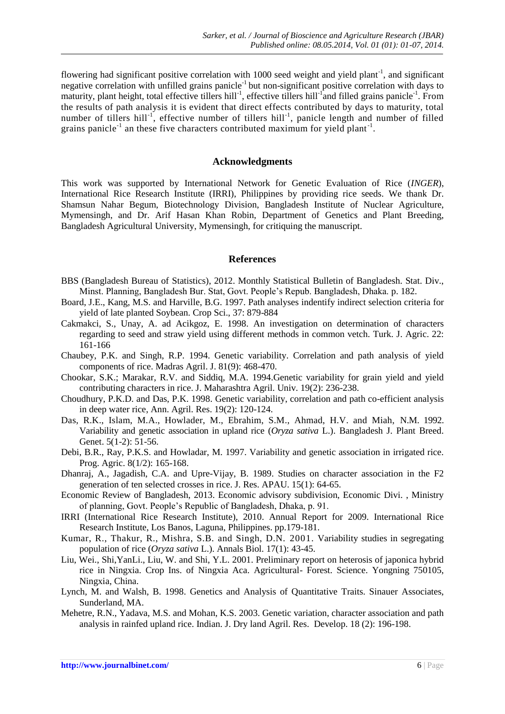flowering had significant positive correlation with 1000 seed weight and yield plant<sup>-1</sup>, and significant negative correlation with unfilled grains panicle<sup>-1</sup> but non-significant positive correlation with days to maturity, plant height, total effective tillers hill<sup>-1</sup>, effective tillers hill<sup>-1</sup> and filled grains panicle<sup>-1</sup>. From the results of path analysis it is evident that direct effects contributed by days to maturity, total number of tillers hill<sup>-1</sup>, effective number of tillers hill<sup>-1</sup>, panicle length and number of filled grains panicle<sup>-1</sup> an these five characters contributed maximum for yield plant<sup>-1</sup>.

#### **Acknowledgments**

This work was supported by International Network for Genetic Evaluation of Rice (*INGER*), International Rice Research Institute (IRRI), Philippines by providing rice seeds. We thank Dr. Shamsun Nahar Begum, Biotechnology Division, Bangladesh Institute of Nuclear Agriculture, Mymensingh, and Dr. Arif Hasan Khan Robin, Department of Genetics and Plant Breeding, Bangladesh Agricultural University, Mymensingh, for critiquing the manuscript.

#### **References**

- BBS (Bangladesh Bureau of Statistics), 2012. Monthly Statistical Bulletin of Bangladesh. Stat. Div., Minst. Planning, Bangladesh Bur. Stat, Govt. People's Repub. Bangladesh, Dhaka. p. 182.
- Board, J.E., Kang, M.S. and Harville, B.G. 1997. Path analyses indentify indirect selection criteria for yield of late planted Soybean. Crop Sci., 37: 879-884
- Cakmakci, S., Unay, A. ad Acikgoz, E. 1998. An investigation on determination of characters regarding to seed and straw yield using different methods in common vetch. Turk. J. Agric. 22: 161-166
- Chaubey, P.K. and Singh, R.P. 1994. Genetic variability. Correlation and path analysis of yield components of rice. Madras Agril. J. 81(9): 468-470.
- Chookar, S.K.; Marakar, R.V. and Siddiq, M.A. 1994.Genetic variability for grain yield and yield contributing characters in rice. J. Maharashtra Agril. Univ. 19(2): 236-238.
- Choudhury, P.K.D. and Das, P.K. 1998. Genetic variability, correlation and path co-efficient analysis in deep water rice, Ann. Agril. Res. 19(2): 120-124.
- Das, R.K., Islam, M.A., Howlader, M., Ebrahim, S.M., Ahmad, H.V. and Miah, N.M. 1992. Variability and genetic association in upland rice (*Oryza sativa* L.). Bangladesh J. Plant Breed. Genet. 5(1-2): 51-56.
- Debi, B.R., Ray, P.K.S. and Howladar, M. 1997. Variability and genetic association in irrigated rice. Prog. Agric. 8(1/2): 165-168.
- Dhanraj, A., Jagadish, C.A. and Upre-Vijay, B. 1989. Studies on character association in the F2 generation of ten selected crosses in rice. J. Res. APAU. 15(1): 64-65.
- Economic Review of Bangladesh, 2013. Economic advisory subdivision, Economic Divi. , Ministry of planning, Govt. People's Republic of Bangladesh, Dhaka, p. 91.
- IRRI (International Rice Research Institute), 2010. Annual Report for 2009. International Rice Research Institute, Los Banos, Laguna, Philippines. pp.179-181.
- Kumar, R., Thakur, R., Mishra, S.B. and Singh, D.N. 2001. Variability studies in segregating population of rice (*Oryza sativa* L.). Annals Biol. 17(1): 43-45.
- Liu, Wei., Shi,YanLi., Liu, W. and Shi, Y.L. 2001. Preliminary report on heterosis of japonica hybrid rice in Ningxia. Crop Ins. of Ningxia Aca. Agricultural- Forest. Science. Yongning 750105, Ningxia, China.
- Lynch, M. and Walsh, B. 1998. Genetics and Analysis of Quantitative Traits. Sinauer Associates, Sunderland, MA.
- Mehetre, R.N., Yadava, M.S. and Mohan, K.S. 2003. Genetic variation, character association and path analysis in rainfed upland rice. Indian. J. Dry land Agril. Res. Develop. 18 (2): 196-198.